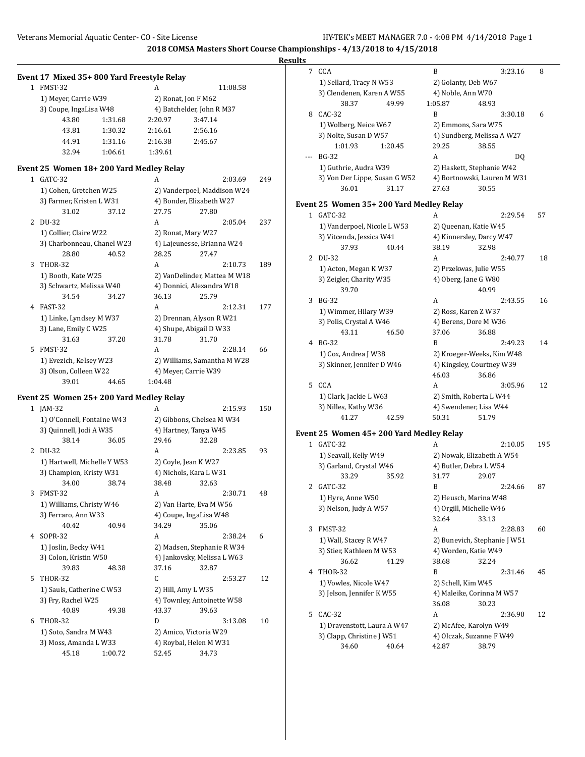|   |                                            |                    |                    | 2018 COMSA Masters Short Course Champio |     |                |
|---|--------------------------------------------|--------------------|--------------------|-----------------------------------------|-----|----------------|
|   |                                            |                    |                    |                                         |     | <b>Results</b> |
|   | Event 17 Mixed 35+800 Yard Freestyle Relay |                    |                    |                                         |     | 7              |
|   | 1 FMST-32                                  |                    | A                  | 11:08.58                                |     |                |
|   | 1) Meyer, Carrie W39                       |                    |                    | 2) Ronat, Jon F M62                     |     |                |
|   | 3) Coupe, IngaLisa W48                     |                    |                    | 4) Batchelder, John R M37               |     |                |
|   | 43.80                                      | 1:31.68            | 2:20.97            | 3:47.14                                 |     | 8              |
|   | 43.81                                      | 1:30.32            | 2:16.61            | 2:56.16                                 |     |                |
|   | 44.91                                      |                    |                    | 2:45.67                                 |     |                |
|   | 32.94                                      | 1:31.16<br>1:06.61 | 2:16.38<br>1:39.61 |                                         |     |                |
|   |                                            |                    |                    |                                         |     |                |
|   | Event 25 Women 18+200 Yard Medley Relay    |                    |                    |                                         |     |                |
|   | 1 GATC-32                                  |                    | A                  | 2:03.69                                 | 249 |                |
|   | 1) Cohen, Gretchen W25                     |                    |                    | 2) Vanderpoel, Maddison W24             |     |                |
|   | 3) Farmer, Kristen L W31                   |                    |                    | 4) Bonder, Elizabeth W27                |     | Even           |
|   | 31.02                                      | 37.12              | 27.75              | 27.80                                   |     | 1              |
|   | 2 DU-32                                    |                    | A                  | 2:05.04                                 | 237 |                |
|   | 1) Collier, Claire W22                     |                    |                    | 2) Ronat, Mary W27                      |     |                |
|   | 3) Charbonneau, Chanel W23                 |                    |                    | 4) Lajeunesse, Brianna W24              |     |                |
|   | 28.80                                      | 40.52              | 28.25              | 27.47                                   |     | 2              |
| 3 | THOR-32                                    |                    | A                  | 2:10.73                                 | 189 |                |
|   | 1) Booth, Kate W25                         |                    |                    | 2) VanDelinder, Mattea M W18            |     |                |
|   | 3) Schwartz, Melissa W40                   |                    |                    | 4) Donnici, Alexandra W18               |     |                |
|   | 34.54                                      | 34.27              | 36.13              | 25.79                                   |     | 3              |
|   | 4 FAST-32                                  |                    | A                  | 2:12.31                                 | 177 |                |
|   | 1) Linke, Lyndsey M W37                    |                    |                    | 2) Drennan, Alyson R W21                |     |                |
|   | 3) Lane, Emily C W25                       |                    |                    | 4) Shupe, Abigail D W33                 |     |                |
|   | 31.63                                      | 37.20              | 31.78              | 31.70                                   |     | 4              |
| 5 | FMST-32                                    |                    | A                  | 2:28.14                                 | 66  |                |
|   | 1) Evezich, Kelsey W23                     |                    |                    | 2) Williams, Samantha M W28             |     |                |
|   | 3) Olson, Colleen W22                      |                    |                    | 4) Meyer, Carrie W39                    |     |                |
|   | 39.01                                      | 44.65              | 1:04.48            |                                         |     | 5              |
|   | Event 25 Women 25+200 Yard Medley Relay    |                    |                    |                                         |     |                |
|   | 1 JAM-32                                   |                    | A                  | 2:15.93                                 | 150 |                |
|   | 1) O'Connell, Fontaine W43                 |                    |                    | 2) Gibbons, Chelsea M W34               |     |                |
|   | 3) Quinnell, Jodi A W35                    |                    |                    | 4) Hartney, Tanya W45                   |     |                |
|   | 38.14                                      | 36.05              | 29.46              | 32.28                                   |     | Even           |
|   | 2 DU-32                                    |                    | A                  | 2:23.85                                 | 93  | $\mathbf{1}$   |
|   | 1) Hartwell, Michelle Y W53                |                    |                    | 2) Coyle, Jean K W27                    |     |                |
|   | 3) Champion, Kristy W31                    |                    |                    | 4) Nichols, Kara L W31                  |     |                |
|   | 34.00                                      | 38.74              | 38.48              | 32.63                                   |     |                |
| 3 | FMST-32                                    |                    | A                  | 2:30.71                                 | 48  | $\overline{c}$ |
|   | 1) Williams, Christy W46                   |                    |                    | 2) Van Harte, Eva M W56                 |     |                |
|   | 3) Ferraro, Ann W33                        |                    |                    | 4) Coupe, IngaLisa W48                  |     |                |
|   | 40.42                                      | 40.94              | 34.29              | 35.06                                   |     |                |
| 4 | SOPR-32                                    |                    | A                  | 2:38.24                                 | 6   | 3              |
|   | 1) Joslin, Becky W41                       |                    |                    | 2) Madsen, Stephanie R W34              |     |                |
|   |                                            |                    |                    | 4) Jankovsky, Melissa L W63             |     |                |
|   | 3) Colon, Kristin W50<br>39.83             | 48.38              | 37.16              | 32.87                                   |     |                |
|   |                                            |                    |                    |                                         |     |                |

5 THOR-32 C 2:53.27 12

1) Sauls, Catherine C W53 2) Hill, Amy L W35 3) Fry, Rachel W25 4) Townley, Antoinette W58 40.89 49.38 43.37 39.63 6 THOR-32 D 3:13.08 10 1) Soto, Sandra M W43 2) Amico, Victoria W29 3) Moss, Amanda L W33 4) Roybal, Helen M W31 45.18 1:00.72 52.45 34.73

| ,,,,, |                                                 |                              |     |
|-------|-------------------------------------------------|------------------------------|-----|
| 7     | CCA                                             | B<br>3:23.16                 | 8   |
|       | 1) Sellard, Tracy N W53                         | 2) Golanty, Deb W67          |     |
|       | 3) Clendenen, Karen A W55                       | 4) Noble, Ann W70            |     |
|       | 49.99<br>38.37                                  | 1:05.87<br>48.93             |     |
| 8     | CAC-32                                          | B<br>3:30.18                 | 6   |
|       | 1) Wolberg, Neice W67                           | 2) Emmons, Sara W75          |     |
|       | 3) Nolte, Susan D W57                           | 4) Sundberg, Melissa A W27   |     |
|       | 1:01.93<br>1:20.45                              | 29.25<br>38.55               |     |
| ---   | <b>BG-32</b>                                    | A<br>DQ                      |     |
|       |                                                 | 2) Haskett, Stephanie W42    |     |
|       | 1) Guthrie, Audra W39                           |                              |     |
|       | 3) Von Der Lippe, Susan G W52<br>36.01<br>31.17 | 4) Bortnowski, Lauren M W31  |     |
|       |                                                 | 27.63<br>30.55               |     |
|       | Event 25 Women 35+200 Yard Medley Relay         |                              |     |
|       | 1 GATC-32                                       | 2:29.54<br>A                 | 57  |
|       | 1) Vanderpoel, Nicole L W53                     | 2) Queenan, Katie W45        |     |
|       | 3) Vitcenda, Jessica W41                        | 4) Kinnersley, Darcy W47     |     |
|       | 37.93<br>40.44                                  | 38.19<br>32.98               |     |
| 2     | DU-32                                           | A<br>2:40.77                 | 18  |
|       | 1) Acton, Megan K W37                           | 2) Przekwas, Julie W55       |     |
|       | 3) Zeigler, Charity W35                         | 4) Oberg, Jane G W80         |     |
|       | 39.70                                           | 40.99                        |     |
| 3     | <b>BG-32</b>                                    | A<br>2:43.55                 | 16  |
|       | 1) Wimmer, Hilary W39                           | 2) Ross, Karen Z W37         |     |
|       | 3) Polis, Crystal A W46                         | 4) Berens, Dore M W36        |     |
|       | 43.11<br>46.50                                  | 37.06<br>36.88               |     |
| 4     | BG-32                                           | B<br>2:49.23                 | 14  |
|       | 1) Cox, Andrea J W38                            | 2) Kroeger-Weeks, Kim W48    |     |
|       | 3) Skinner, Jennifer D W46                      | 4) Kingsley, Courtney W39    |     |
|       |                                                 | 46.03<br>36.86               |     |
| 5     | <b>CCA</b>                                      | A<br>3:05.96                 | 12  |
|       | 1) Clark, Jackie L W63                          | 2) Smith, Roberta L W44      |     |
|       | 3) Nilles, Kathy W36                            | 4) Swendener, Lisa W44       |     |
|       | 41.27<br>42.59                                  | 50.31<br>51.79               |     |
|       |                                                 |                              |     |
|       | Event 25 Women 45+200 Yard Medley Relay         |                              |     |
|       | 1 GATC-32                                       | A<br>2:10.05                 | 195 |
|       | 1) Seavall, Kelly W49                           | 2) Nowak, Elizabeth A W54    |     |
|       | 3) Garland, Crystal W46                         | 4) Butler, Debra L W54       |     |
|       | 33.29<br>35.92                                  | 31.77<br>29.07               |     |
| 2     | GATC-32                                         | 2:24.66<br>B                 | 87  |
|       | 1) Hyre, Anne W50                               | 2) Heusch, Marina W48        |     |
|       | 3) Nelson, Judy A W57                           | 4) Orgill, Michelle W46      |     |
|       |                                                 | 32.64<br>33.13               |     |
| 3     | FMST-32                                         | A<br>2:28.83                 | 60  |
|       | 1) Wall, Stacey R W47                           | 2) Bunevich, Stephanie J W51 |     |
|       | 3) Stier, Kathleen M W53                        | 4) Worden, Katie W49         |     |
|       | 36.62<br>41.29                                  | 38.68<br>32.24               |     |
| 4     | THOR-32                                         | B<br>2:31.46                 | 45  |
|       | 1) Vowles, Nicole W47                           | 2) Schell, Kim W45           |     |
|       | 3) Jelson, Jennifer KW55                        | 4) Maleike, Corinna M W57    |     |
|       |                                                 | 36.08<br>30.23               |     |
| 5     | CAC-32                                          | A<br>2:36.90                 | 12  |
|       | 1) Dravenstott, Laura A W47                     | 2) McAfee, Karolyn W49       |     |
|       | 3) Clapp, Christine J W51                       | 4) Olczak, Suzanne F W49     |     |
|       | 34.60<br>40.64                                  | 42.87<br>38.79               |     |
|       |                                                 |                              |     |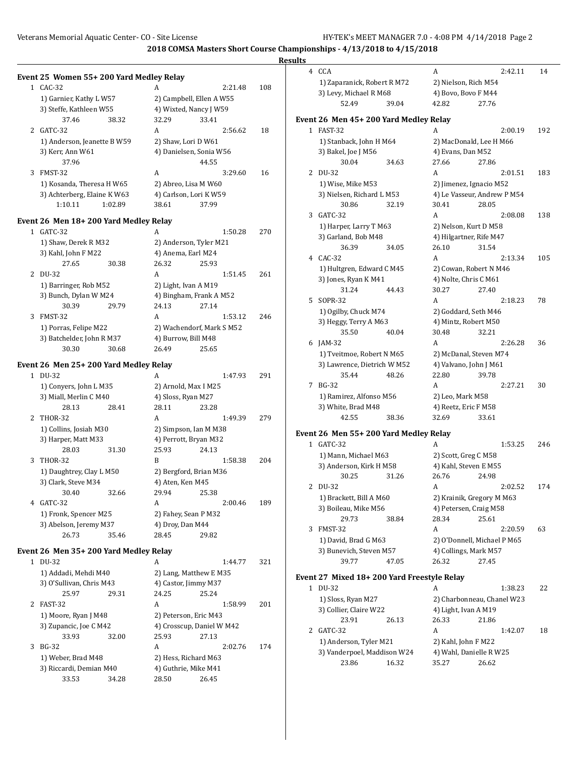| Event 25 Women 55+200 Yard Medley Relay   |                               |                           |     | 4 CCA                                      |       | A                     | 2:42.11                     |     |
|-------------------------------------------|-------------------------------|---------------------------|-----|--------------------------------------------|-------|-----------------------|-----------------------------|-----|
|                                           |                               |                           |     |                                            |       |                       |                             | 14  |
| 1 CAC-32                                  | A                             | 2:21.48                   | 108 | 1) Zaparanick, Robert R M72                |       | 2) Nielson, Rich M54  |                             |     |
|                                           |                               |                           |     | 3) Levy, Michael R M68                     |       | 4) Bovo, Bovo F M44   |                             |     |
| 1) Garnier, Kathy L W57                   | 2) Campbell, Ellen A W55      |                           |     | 52.49                                      | 39.04 | 42.82                 | 27.76                       |     |
| 3) Steffe, Kathleen W55                   | 4) Wixted, Nancy J W59        |                           |     |                                            |       |                       |                             |     |
| 38.32<br>37.46                            | 32.29                         | 33.41                     |     | Event 26 Men 45+200 Yard Medley Relay      |       |                       |                             |     |
| 2 GATC-32                                 | A                             | 2:56.62                   | 18  | 1 FAST-32                                  |       | A                     | 2:00.19                     | 192 |
| 1) Anderson, Jeanette B W59               | 2) Shaw, Lori D W61           |                           |     | 1) Stanback, John H M64                    |       |                       | 2) MacDonald, Lee H M66     |     |
| 3) Kerr, Ann W61                          | 4) Danielsen, Sonia W56       |                           |     | 3) Bakel, Joe J M56                        |       | 4) Evans, Dan M52     |                             |     |
| 37.96                                     |                               | 44.55                     |     | 30.04                                      | 34.63 | 27.66                 | 27.86                       |     |
| 3 FMST-32                                 | A                             | 3:29.60                   | 16  | 2 DU-32                                    |       | A                     | 2:01.51                     | 183 |
| 1) Kosanda, Theresa H W65                 | 2) Abreo, Lisa M W60          |                           |     | 1) Wise, Mike M53                          |       |                       | 2) Jimenez, Ignacio M52     |     |
| 3) Achterberg, Elaine K W63               | 4) Carlson, Lori KW59         |                           |     | 3) Nielsen, Richard L M53                  |       |                       | 4) Le Vasseur, Andrew P M54 |     |
| 1:10.11<br>1:02.89                        | 38.61                         | 37.99                     |     | 30.86                                      | 32.19 | 30.41                 | 28.05                       |     |
| Event 26 Men 18+200 Yard Medley Relay     |                               |                           |     | 3 GATC-32                                  |       | A                     | 2:08.08                     | 138 |
| 1 GATC-32                                 | A                             | 1:50.28                   | 270 | 1) Harper, Larry T M63                     |       |                       | 2) Nelson, Kurt D M58       |     |
| 1) Shaw, Derek R M32                      | 2) Anderson, Tyler M21        |                           |     | 3) Garland, Bob M48                        |       |                       | 4) Hilgartner, Rife M47     |     |
| 3) Kahl, John F M22                       | 4) Anema, Earl M24            |                           |     | 36.39                                      | 34.05 | 26.10                 | 31.54                       |     |
| 27.65<br>30.38                            | 26.32                         | 25.93                     |     | 4 CAC-32                                   |       | A                     | 2:13.34                     | 105 |
| 2 DU-32                                   | A                             | 1:51.45                   | 261 | 1) Hultgren, Edward C M45                  |       |                       | 2) Cowan, Robert N M46      |     |
| 1) Barringer, Rob M52                     | 2) Light, Ivan A M19          |                           |     | 3) Jones, Ryan K M41                       |       | 4) Nolte, Chris C M61 |                             |     |
| 3) Bunch, Dylan W M24                     | 4) Bingham, Frank A M52       |                           |     | 31.24                                      | 44.43 | 30.27                 | 27.40                       |     |
| 30.39<br>29.79                            | 24.13                         | 27.14                     |     | 5 SOPR-32                                  |       | A                     | 2:18.23                     | 78  |
| 3 FMST-32                                 | A                             | 1:53.12                   | 246 | 1) Ogilby, Chuck M74                       |       | 2) Goddard, Seth M46  |                             |     |
| 1) Porras, Felipe M22                     |                               | 2) Wachendorf, Mark S M52 |     | 3) Heggy, Terry A M63                      |       | 4) Mintz, Robert M50  |                             |     |
| 3) Batchelder, John R M37                 | 4) Burrow, Bill M48           |                           |     | 35.50                                      | 40.04 | 30.48                 | 32.21                       |     |
| 30.30<br>30.68                            | 26.49                         | 25.65                     |     | 6 JAM-32                                   |       | A                     | 2:26.28                     | 36  |
|                                           |                               |                           |     | 1) Tveitmoe, Robert N M65                  |       |                       | 2) McDanal, Steven M74      |     |
| Event 26 Men 25+200 Yard Medley Relay     |                               |                           |     | 3) Lawrence, Dietrich W M52                |       |                       | 4) Valvano, John J M61      |     |
| 1 DU-32                                   | A                             | 1:47.93                   | 291 | 35.44                                      | 48.26 | 22.80                 | 39.78                       |     |
| 1) Conyers, John L M35                    | 2) Arnold, Max I M25          |                           |     | 7 BG-32                                    |       | A                     | 2:27.21                     | 30  |
| 3) Miall, Merlin C M40                    | 4) Sloss, Ryan M27            |                           |     | 1) Ramirez, Alfonso M56                    |       | 2) Leo, Mark M58      |                             |     |
| 28.13<br>28.41                            | 28.11                         | 23.28                     |     | 3) White, Brad M48                         |       | 4) Reetz, Eric F M58  |                             |     |
| 2 THOR-32                                 | A                             | 1:49.39                   | 279 | 42.55                                      | 38.36 | 32.69                 | 33.61                       |     |
| 1) Collins, Josiah M30                    | 2) Simpson, Ian M M38         |                           |     | Event 26 Men 55+200 Yard Medley Relay      |       |                       |                             |     |
| 3) Harper, Matt M33                       | 4) Perrott, Bryan M32         |                           |     | 1 GATC-32                                  |       | A                     | 1:53.25                     | 246 |
| 28.03<br>31.30                            | 25.93                         | 24.13                     |     | 1) Mann, Michael M63                       |       | 2) Scott, Greg C M58  |                             |     |
| 3 THOR-32                                 | B                             | 1:58.38                   | 204 | 3) Anderson, Kirk H M58                    |       | 4) Kahl, Steven E M55 |                             |     |
| 1) Daughtrey, Clay L M50                  | 2) Bergford, Brian M36        |                           |     | 30.25                                      | 31.26 | 26.76                 | 24.98                       |     |
| 3) Clark, Steve M34                       | 4) Aten, Ken M45              |                           |     | 2 DU-32                                    |       | A                     | 2:02.52                     | 174 |
| 30.40<br>32.66                            | 29.94                         | 25.38                     |     | 1) Brackett, Bill A M60                    |       |                       | 2) Krainik, Gregory M M63   |     |
| 4 GATC-32                                 | A                             | 2:00.46                   | 189 | 3) Boileau, Mike M56                       |       |                       | 4) Petersen, Craig M58      |     |
| 1) Fronk, Spencer M25                     | 2) Fahey, Sean P M32          |                           |     | 29.73                                      | 38.84 | 28.34                 | 25.61                       |     |
| 3) Abelson, Jeremy M37                    | 4) Droy, Dan M44              |                           |     | 3 FMST-32                                  |       |                       |                             |     |
| 26.73<br>35.46                            | 28.45                         | 29.82                     |     |                                            |       | A                     | 2:20.59                     | 63  |
|                                           |                               |                           |     | 1) David, Brad G M63                       |       |                       | 2) O'Donnell, Michael P M65 |     |
| Event 26 Men 35+200 Yard Medley Relay     |                               |                           |     | 3) Bunevich, Steven M57                    |       | 4) Collings, Mark M57 |                             |     |
| 1 DU-32                                   | A                             | 1:44.77                   | 321 | 39.77                                      | 47.05 | 26.32                 | 27.45                       |     |
| 1) Addadi, Mehdi M40                      | 2) Lang, Matthew E M35        |                           |     | Event 27 Mixed 18+200 Yard Freestyle Relay |       |                       |                             |     |
| 3) O'Sullivan, Chris M43                  | 4) Castor, Jimmy M37          |                           |     | 1 DU-32                                    |       | A                     | 1:38.23                     | 22  |
| 25.97<br>29.31                            | 24.25                         | 25.24                     |     | 1) Sloss, Ryan M27                         |       |                       | 2) Charbonneau, Chanel W23  |     |
| 2 FAST-32                                 | A                             | 1:58.99                   | 201 | 3) Collier, Claire W22                     |       | 4) Light, Ivan A M19  |                             |     |
| 1) Moore, Ryan J M48                      | 2) Peterson, Eric M43         |                           |     | 23.91                                      | 26.13 | 26.33                 | 21.86                       |     |
| 3) Zupancic, Joe C M42                    |                               | 4) Crosscup, Daniel W M42 |     | 2 GATC-32                                  |       | A                     | 1:42.07                     | 18  |
| 33.93<br>32.00                            | 25.93                         | 27.13                     |     | 1) Anderson, Tyler M21                     |       | 2) Kahl, John F M22   |                             |     |
| 3 BG-32                                   | A                             | 2:02.76                   | 174 | 3) Vanderpoel, Maddison W24                |       |                       | 4) Wahl, Danielle R W25     |     |
|                                           |                               |                           |     |                                            |       |                       |                             |     |
| 1) Weber, Brad M48                        | 2) Hess, Richard M63          |                           |     | 23.86                                      | 16.32 | 35.27                 | 26.62                       |     |
| 3) Riccardi, Demian M40<br>33.53<br>34.28 | 4) Guthrie, Mike M41<br>28.50 | 26.45                     |     |                                            |       |                       |                             |     |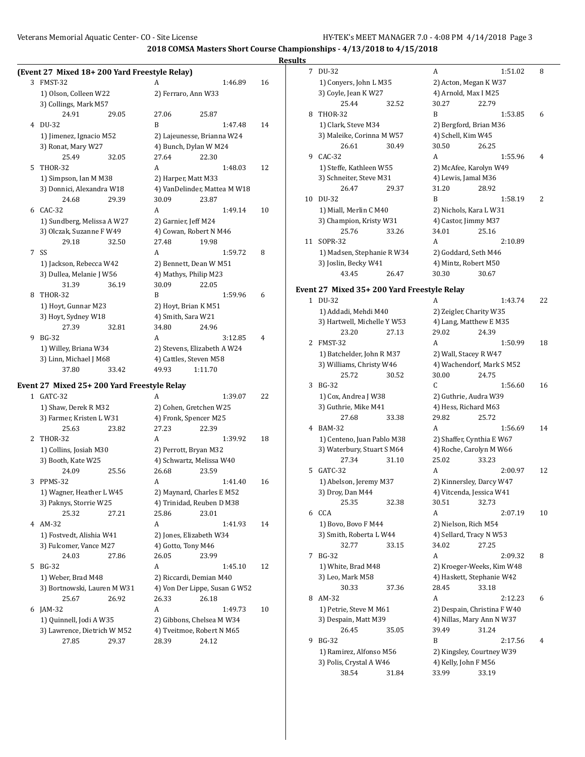# **Results**

|              | (Event 27 Mixed 18+200 Yard Freestyle Relay) |       |                               |         |         |    |    |
|--------------|----------------------------------------------|-------|-------------------------------|---------|---------|----|----|
|              | 3 FMST-32                                    |       | A                             |         | 1:46.89 | 16 |    |
|              | 1) Olson, Colleen W22                        |       | 2) Ferraro, Ann W33           |         |         |    |    |
|              | 3) Collings, Mark M57                        |       |                               |         |         |    |    |
|              | 24.91                                        | 29.05 | 27.06                         | 25.87   |         |    |    |
|              | 4 DU-32                                      |       | B                             |         | 1:47.48 | 14 |    |
|              | 1) Jimenez, Ignacio M52                      |       | 2) Lajeunesse, Brianna W24    |         |         |    |    |
|              | 3) Ronat, Mary W27                           |       | 4) Bunch, Dylan W M24         |         |         |    |    |
|              | 25.49                                        | 32.05 | 27.64                         | 22.30   |         |    |    |
| 5            | <b>THOR-32</b>                               |       | A                             |         | 1:48.03 | 12 |    |
|              | 1) Simpson, Ian M M38                        |       | 2) Harper, Matt M33           |         |         |    |    |
|              | 3) Donnici, Alexandra W18                    |       | 4) VanDelinder, Mattea M W18  |         |         |    |    |
|              | 24.68                                        | 29.39 | 30.09                         | 23.87   |         |    |    |
| 6            | $CAC-32$                                     |       | A                             |         | 1:49.14 | 10 |    |
|              | 1) Sundberg, Melissa A W27                   |       | 2) Garnier, Jeff M24          |         |         |    |    |
|              | 3) Olczak, Suzanne F W49                     |       | 4) Cowan, Robert N M46        |         |         |    |    |
|              | 29.18                                        | 32.50 | 27.48                         | 19.98   |         |    |    |
| 7            | SS                                           |       | A                             |         | 1:59.72 | 8  |    |
|              | 1) Jackson, Rebecca W42                      |       | 2) Bennett, Dean W M51        |         |         |    |    |
|              | 3) Dullea, Melanie J W56                     |       | 4) Mathys, Philip M23         |         |         |    |    |
|              | 31.39                                        | 36.19 | 30.09                         | 22.05   |         |    |    |
| 8            | <b>THOR-32</b>                               |       | B                             |         | 1:59.96 | 6  | Ev |
|              | 1) Hoyt, Gunnar M23                          |       | 2) Hoyt, Brian K M51          |         |         |    |    |
|              | 3) Hoyt, Sydney W18                          |       | 4) Smith, Sara W21            |         |         |    |    |
|              | 27.39                                        | 32.81 | 34.80                         | 24.96   |         |    |    |
| 9            | <b>BG-32</b>                                 |       | A                             |         | 3:12.85 | 4  |    |
|              | 1) Willey, Briana W34                        |       | 2) Stevens, Elizabeth A W24   |         |         |    |    |
|              | 3) Linn, Michael J M68                       |       | 4) Cattles, Steven M58        |         |         |    |    |
|              | 37.80                                        | 33.42 | 49.93                         | 1:11.70 |         |    |    |
|              |                                              |       |                               |         |         |    |    |
|              | Event 27 Mixed 25+ 200 Yard Freestyle Relay  |       |                               |         |         |    |    |
| $\mathbf{1}$ | GATC-32                                      |       | А                             |         | 1:39.07 | 22 |    |
|              | 1) Shaw, Derek R M32                         |       | 2) Cohen, Gretchen W25        |         |         |    |    |
|              | 3) Farmer, Kristen L W31                     |       | 4) Fronk, Spencer M25         |         |         |    |    |
|              | 25.63                                        | 23.82 | 27.23                         | 22.39   |         |    |    |
| 2            | <b>THOR-32</b>                               |       | A                             |         | 1:39.92 | 18 |    |
|              | 1) Collins, Josiah M30                       |       | 2) Perrott, Bryan M32         |         |         |    |    |
|              | 3) Booth, Kate W25                           |       | 4) Schwartz, Melissa W40      |         |         |    |    |
|              | 24.09                                        | 25.56 | 26.68                         | 23.59   |         |    |    |
| 3            | PPMS-32                                      |       | A                             |         | 1:41.40 | 16 |    |
|              | 1) Wagner, Heather L W45                     |       | 2) Maynard, Charles E M52     |         |         |    |    |
|              | 3) Paknys, Storrie W25                       |       | 4) Trinidad, Reuben D M38     |         |         |    |    |
|              | 25.32                                        | 27.21 | 25.86                         | 23.01   |         |    |    |
|              | 4 AM-32                                      |       | A                             |         | 1:41.93 | 14 |    |
|              | 1) Fostvedt, Alishia W41                     |       | 2) Jones, Elizabeth W34       |         |         |    |    |
|              | 3) Fulcomer, Vance M27                       |       | 4) Gotto, Tony M46            |         |         |    |    |
|              | 24.03                                        | 27.86 | 26.05                         | 23.99   |         |    |    |
| 5.           | <b>BG-32</b>                                 |       | A                             |         | 1:45.10 | 12 |    |
|              | 1) Weber, Brad M48                           |       | 2) Riccardi, Demian M40       |         |         |    |    |
|              | 3) Bortnowski, Lauren M W31                  |       | 4) Von Der Lippe, Susan G W52 |         |         |    |    |
|              | 25.67                                        | 26.92 | 26.33                         | 26.18   |         |    |    |
|              | 6 JAM-32                                     |       | A                             |         | 1:49.73 | 10 |    |
|              | 1) Quinnell, Jodi A W35                      |       | 2) Gibbons, Chelsea M W34     |         |         |    |    |
|              | 3) Lawrence, Dietrich W M52                  |       | 4) Tveitmoe, Robert N M65     |         |         |    |    |
|              | 27.85                                        | 29.37 | 28.39                         | 24.12   |         |    |    |

| 7  | DU-32                                     | A<br>1:51.02                  | 8  |
|----|-------------------------------------------|-------------------------------|----|
|    | 1) Conyers, John L M35                    | 2) Acton, Megan K W37         |    |
|    | 3) Coyle, Jean K W27                      | 4) Arnold, Max I M25          |    |
|    | 25.44<br>32.52                            | 30.27<br>22.79                |    |
| 8  | <b>THOR-32</b>                            | B<br>1:53.85                  | 6  |
|    | 1) Clark, Steve M34                       | 2) Bergford, Brian M36        |    |
|    | 3) Maleike, Corinna M W57                 | 4) Schell, Kim W45            |    |
|    | 26.61<br>30.49                            | 30.50<br>26.25                |    |
| 9  | $CAC-32$                                  | A<br>1:55.96                  | 4  |
|    |                                           |                               |    |
|    | 1) Steffe, Kathleen W55                   | 2) McAfee, Karolyn W49        |    |
|    | 3) Schneiter, Steve M31                   | 4) Lewis, Jamal M36           |    |
|    | 26.47<br>29.37                            | 31.20<br>28.92                |    |
| 10 | DU-32                                     | B<br>1:58.19                  | 2  |
|    | 1) Miall, Merlin C M40                    | 2) Nichols, Kara L W31        |    |
|    | 3) Champion, Kristy W31                   | 4) Castor, Jimmy M37          |    |
|    | 25.76<br>33.26                            | 34.01<br>25.16                |    |
| 11 | SOPR-32                                   | A<br>2:10.89                  |    |
|    | 1) Madsen, Stephanie R W34                | 2) Goddard, Seth M46          |    |
|    | 3) Joslin, Becky W41                      | 4) Mintz, Robert M50          |    |
|    | 43.45<br>26.47                            | 30.30<br>30.67                |    |
|    | ent 27 Mixed 35+ 200 Yard Freestyle Relay |                               |    |
| 1  | DU-32                                     | A<br>1:43.74                  | 22 |
|    | 1) Addadi, Mehdi M40                      | 2) Zeigler, Charity W35       |    |
|    | 3) Hartwell, Michelle Y W53               | 4) Lang, Matthew E M35        |    |
|    | 23.20<br>27.13                            | 29.02<br>24.39                |    |
| 2  | FMST-32                                   | A<br>1:50.99                  | 18 |
|    | 1) Batchelder, John R M37                 | 2) Wall, Stacey R W47         |    |
|    | 3) Williams, Christy W46                  | 4) Wachendorf, Mark S M52     |    |
|    | 25.72<br>30.52                            | 30.00<br>24.75                |    |
| 3  | $BG-32$                                   | C<br>1:56.60                  | 16 |
|    | 1) Cox, Andrea J W38                      |                               |    |
|    |                                           | 2) Guthrie, Audra W39         |    |
|    | 3) Guthrie, Mike M41                      | 4) Hess, Richard M63<br>25.72 |    |
|    | 27.68<br>33.38                            | 29.82                         |    |
| 4  | <b>BAM-32</b>                             | A<br>1:56.69                  | 14 |
|    | 1) Centeno, Juan Pablo M38                | 2) Shaffer, Cynthia E W67     |    |
|    | 3) Waterbury, Stuart S M64                | 4) Roche, Carolyn M W66       |    |
|    | 27.34<br>31.10                            | 25.02<br>33.23                |    |
| 5  | GATC-32                                   | A<br>2:00.97                  | 12 |
|    | 1) Abelson, Jeremy M37                    | 2) Kinnersley, Darcy W47      |    |
|    | 3) Droy, Dan M44                          | 4) Vitcenda, Jessica W41      |    |
|    | 25.35<br>32.38                            | 30.51<br>32.73                |    |
| 6  | CCA                                       | A<br>2:07.19                  | 10 |
|    | 1) Bovo, Bovo F M44                       | 2) Nielson, Rich M54          |    |
|    | 3) Smith, Roberta L W44                   | 4) Sellard, Tracy N W53       |    |
|    | 32.77<br>33.15                            | 34.02<br>27.25                |    |
| 7  | BG-32                                     | A<br>2:09.32                  | 8  |
|    | 1) White, Brad M48                        | 2) Kroeger-Weeks, Kim W48     |    |
|    | 3) Leo, Mark M58                          | 4) Haskett, Stephanie W42     |    |
|    | 30.33<br>37.36                            | 28.45<br>33.18                |    |
| 8  | AM-32                                     | A<br>2:12.23                  | 6  |
|    | 1) Petrie, Steve M M61                    | 2) Despain, Christina F W40   |    |
|    | 3) Despain, Matt M39                      | 4) Nillas, Mary Ann N W37     |    |
|    | 26.45<br>35.05                            | 39.49<br>31.24                |    |
| 9  | BG-32                                     | B<br>2:17.56                  | 4  |
|    | 1) Ramirez, Alfonso M56                   | 2) Kingsley, Courtney W39     |    |
|    | 3) Polis, Crystal A W46                   | 4) Kelly, John F M56          |    |
|    | 38.54<br>31.84                            | 33.99<br>33.19                |    |
|    |                                           |                               |    |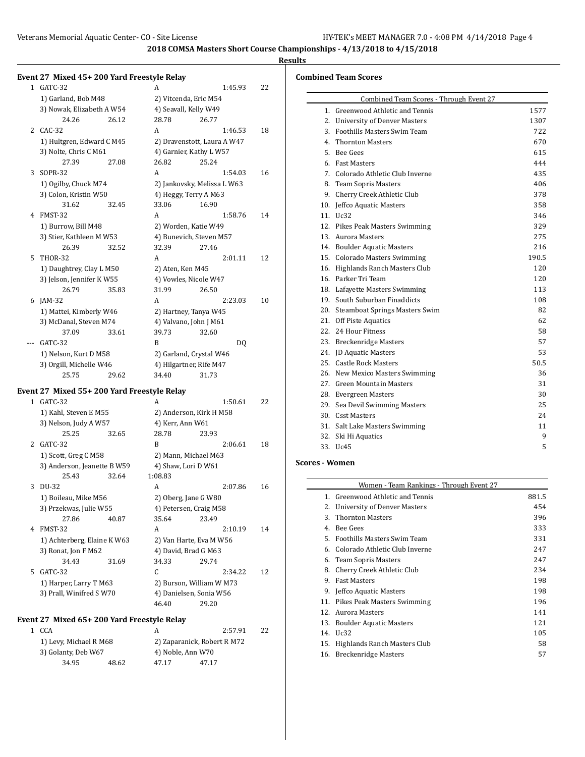$\overline{\phantom{a}}$ 

### **Results**

#### **Event 27 Mixed 45+ 200 Yard Freestyle Relay**

| $\mathbf{1}$ | GATC-32                                                      |       | A                           |       | 1:45.93 | 22 |
|--------------|--------------------------------------------------------------|-------|-----------------------------|-------|---------|----|
|              | 1) Garland, Bob M48                                          |       | 2) Vitcenda, Eric M54       |       |         |    |
|              | 3) Nowak, Elizabeth A W54                                    |       | 4) Seavall, Kelly W49       |       |         |    |
|              | 24.26                                                        | 26.12 | 28.78                       | 26.77 |         |    |
| 2            | $CAC-32$                                                     |       | A                           |       | 1:46.53 | 18 |
|              | 1) Hultgren, Edward C M45                                    |       | 2) Dravenstott, Laura A W47 |       |         |    |
|              | 3) Nolte, Chris C M61                                        |       | 4) Garnier, Kathy L W57     |       |         |    |
|              | 27.39                                                        | 27.08 | 26.82                       | 25.24 |         |    |
| 3            | <b>SOPR-32</b>                                               |       | A                           |       | 1:54.03 | 16 |
|              | 1) Ogilby, Chuck M74                                         |       | 2) Jankovsky, Melissa L W63 |       |         |    |
|              | 3) Colon, Kristin W50                                        |       | 4) Heggy, Terry A M63       |       |         |    |
|              | 31.62                                                        | 32.45 | 33.06                       | 16.90 |         |    |
| 4            | FMST-32                                                      |       | A                           |       | 1:58.76 | 14 |
|              | 1) Burrow, Bill M48                                          |       | 2) Worden, Katie W49        |       |         |    |
|              | 3) Stier, Kathleen M W53                                     |       | 4) Bunevich, Steven M57     |       |         |    |
|              | 26.39                                                        | 32.52 | 32.39                       | 27.46 |         |    |
| 5            | <b>THOR-32</b>                                               |       | A                           |       | 2:01.11 | 12 |
|              | 1) Daughtrey, Clay L M50                                     |       | 2) Aten, Ken M45            |       |         |    |
|              | 3) Jelson, Jennifer KW55                                     |       | 4) Vowles, Nicole W47       |       |         |    |
|              | 26.79                                                        | 35.83 | 31.99                       | 26.50 |         |    |
| 6            | $IAM-32$                                                     |       | A                           |       | 2:23.03 | 10 |
|              | 1) Mattei, Kimberly W46                                      |       | 2) Hartney, Tanya W45       |       |         |    |
|              | 3) McDanal, Steven M74                                       |       | 4) Valvano, John J M61      |       |         |    |
|              | 37.09                                                        | 33.61 | 39.73                       | 32.60 |         |    |
|              | GATC-32                                                      |       | B                           |       | DQ      |    |
|              | 1) Nelson, Kurt D M58                                        |       | 2) Garland, Crystal W46     |       |         |    |
|              | 3) Orgill, Michelle W46                                      |       | 4) Hilgartner, Rife M47     |       |         |    |
|              | 25.75                                                        | 29.62 | 34.40                       | 31.73 |         |    |
|              | $M_{\text{max}}$ ( $\mu = 0.00$ $M_{\text{max}}$ $\mu$ $\mu$ |       | 1.71                        |       |         |    |

#### **Event 27 Mixed 55+ 200 Yard Freestyle Relay**

| 1             | GATC-32                     |       | A                | 1:50.61                  | 22 |
|---------------|-----------------------------|-------|------------------|--------------------------|----|
|               | 1) Kahl, Steven E M55       |       |                  | 2) Anderson, Kirk H M58  |    |
|               | 3) Nelson, Judy A W57       |       | 4) Kerr, Ann W61 |                          |    |
|               | 25.25                       | 32.65 | 28.78            | 23.93                    |    |
| $\mathcal{L}$ | GATC-32                     |       | R                | 2:06.61                  | 18 |
|               | 1) Scott, Greg C M58        |       |                  | 2) Mann, Michael M63     |    |
|               | 3) Anderson, Jeanette B W59 |       |                  | 4) Shaw, Lori D W61      |    |
|               | 25.43                       | 32.64 | 1:08.83          |                          |    |
| 3             | DU-32                       |       | A                | 2:07.86                  | 16 |
|               | 1) Boileau, Mike M56        |       |                  | 2) Oberg, Jane G W80     |    |
|               | 3) Przekwas, Julie W55      |       |                  | 4) Petersen, Craig M58   |    |
|               | 27.86                       | 40.87 | 35.64            | 23.49                    |    |
| 4             | FMST-32                     |       | A                | 2:10.19                  | 14 |
|               | 1) Achterberg, Elaine K W63 |       |                  | 2) Van Harte, Eva M W56  |    |
|               | 3) Ronat, Jon F M62         |       |                  | 4) David, Brad G M63     |    |
|               | 34.43                       | 31.69 | 34.33            | 29.74                    |    |
| 5.            | GATC-32                     |       | C                | 2:34.22                  | 12 |
|               | 1) Harper, Larry T M63      |       |                  | 2) Burson, William W M73 |    |
|               | 3) Prall, Winifred S W70    |       |                  | 4) Danielsen, Sonia W56  |    |
|               |                             |       | 46.40            | 29.20                    |    |

### **Event 27 Mixed 65+ 200 Yard Freestyle Relay**

| 1 CCA                  |       |                   | 2:57.91                     | 22 |  |
|------------------------|-------|-------------------|-----------------------------|----|--|
| 1) Levy, Michael R M68 |       |                   | 2) Zaparanick, Robert R M72 |    |  |
| 3) Golanty, Deb W67    |       | 4) Noble, Ann W70 |                             |    |  |
| 34.95                  | 48.62 | 47.17             | 47.17                       |    |  |

## **Combined Team Scores**

| Combined Team Scores - Through Event 27 |       |  |  |  |
|-----------------------------------------|-------|--|--|--|
| 1. Greenwood Athletic and Tennis        | 1577  |  |  |  |
| 2. University of Denver Masters         | 1307  |  |  |  |
| 3. Foothills Masters Swim Team          | 722   |  |  |  |
| 4. Thornton Masters                     | 670   |  |  |  |
| 5. Bee Gees                             | 615   |  |  |  |
| 6. Fast Masters                         | 444   |  |  |  |
| 7. Colorado Athletic Club Inverne       | 435   |  |  |  |
| 8. Team Sopris Masters                  | 406   |  |  |  |
| 9. Cherry Creek Athletic Club           | 378   |  |  |  |
| 10. Jeffco Aquatic Masters              | 358   |  |  |  |
| 11. Uc32                                | 346   |  |  |  |
| 12. Pikes Peak Masters Swimming         | 329   |  |  |  |
| 13. Aurora Masters                      | 275   |  |  |  |
| 14. Boulder Aquatic Masters             | 216   |  |  |  |
| 15. Colorado Masters Swimming           | 190.5 |  |  |  |
| 16. Highlands Ranch Masters Club        | 120   |  |  |  |
| 16. Parker Tri Team                     | 120   |  |  |  |
| 18. Lafayette Masters Swimming          | 113   |  |  |  |
| 19. South Suburban Finaddicts           | 108   |  |  |  |
| 20. Steamboat Springs Masters Swim      | 82    |  |  |  |
| 21. Off Piste Aquatics                  | 62    |  |  |  |
| 22. 24 Hour Fitness                     | 58    |  |  |  |
| 23. Breckenridge Masters                | 57    |  |  |  |
| 24. ID Aquatic Masters                  | 53    |  |  |  |
| 25. Castle Rock Masters                 | 50.5  |  |  |  |
| 26. New Mexico Masters Swimming         | 36    |  |  |  |
| 27. Green Mountain Masters              | 31    |  |  |  |
| 28. Evergreen Masters                   | 30    |  |  |  |
| 29. Sea Devil Swimming Masters          | 25    |  |  |  |
| 30. Csst Masters                        | 24    |  |  |  |
| 31. Salt Lake Masters Swimming          | 11    |  |  |  |
| 32. Ski Hi Aquatics                     | 9     |  |  |  |
| 33. Uc45                                | 5     |  |  |  |

# **Scores - Women**

|     | Women - Team Rankings - Through Event 27 |       |
|-----|------------------------------------------|-------|
|     | 1. Greenwood Athletic and Tennis         | 881.5 |
| 2.  | University of Denver Masters             | 454   |
| 3.  | <b>Thornton Masters</b>                  | 396   |
| 4.  | <b>Bee Gees</b>                          | 333   |
|     | 5. Foothills Masters Swim Team           | 331   |
| 6.  | Colorado Athletic Club Inverne           | 247   |
| 6.  | Team Sopris Masters                      | 247   |
| 8.  | Cherry Creek Athletic Club               | 234   |
| 9.  | <b>Fast Masters</b>                      | 198   |
| 9.  | Jeffco Aquatic Masters                   | 198   |
| 11. | Pikes Peak Masters Swimming              | 196   |
|     | 12. Aurora Masters                       | 141   |
| 13. | <b>Boulder Aquatic Masters</b>           | 121   |
| 14. | Uc32                                     | 105   |
| 15. | Highlands Ranch Masters Club             | 58    |
| 16. | <b>Breckenridge Masters</b>              | 57    |
|     |                                          |       |